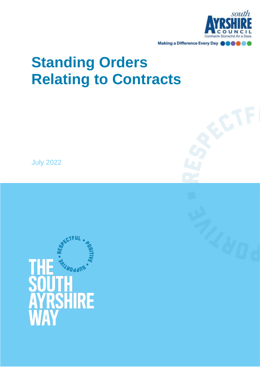

# **Standing Orders Relating to Contracts**

July 2022

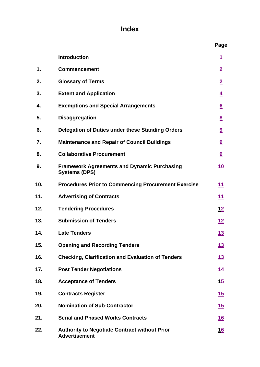# **Index**

|     |                                                                              | Page                    |
|-----|------------------------------------------------------------------------------|-------------------------|
|     | <b>Introduction</b>                                                          | <u>1</u>                |
| 1.  | <b>Commencement</b>                                                          | $\overline{2}$          |
| 2.  | <b>Glossary of Terms</b>                                                     | $\overline{2}$          |
| 3.  | <b>Extent and Application</b>                                                | $\overline{4}$          |
| 4.  | <b>Exemptions and Special Arrangements</b>                                   | $6 \overline{6}$        |
| 5.  | <b>Disaggregation</b>                                                        | $\underline{8}$         |
| 6.  | Delegation of Duties under these Standing Orders                             | $\overline{\mathbf{9}}$ |
| 7.  | <b>Maintenance and Repair of Council Buildings</b>                           | $\overline{\mathbf{a}}$ |
| 8.  | <b>Collaborative Procurement</b>                                             | 9                       |
| 9.  | <b>Framework Agreements and Dynamic Purchasing</b><br><b>Systems (DPS)</b>   | <u>10</u>               |
| 10. | <b>Procedures Prior to Commencing Procurement Exercise</b>                   | <u>11</u>               |
| 11. | <b>Advertising of Contracts</b>                                              | <u>11</u>               |
| 12. | <b>Tendering Procedures</b>                                                  | <u> 12</u>              |
| 13. | <b>Submission of Tenders</b>                                                 | <u>12</u>               |
| 14. | <b>Late Tenders</b>                                                          | <u>13</u>               |
| 15. | <b>Opening and Recording Tenders</b>                                         | <u>13</u>               |
| 16. | <b>Checking, Clarification and Evaluation of Tenders</b>                     | <u>13</u>               |
| 17. | <b>Post Tender Negotiations</b>                                              | <u> 14</u>              |
| 18. | <b>Acceptance of Tenders</b>                                                 | <u>15</u>               |
| 19. | <b>Contracts Register</b>                                                    | <u>15</u>               |
| 20. | <b>Nomination of Sub-Contractor</b>                                          | <u>15</u>               |
| 21. | <b>Serial and Phased Works Contracts</b>                                     | <u>16</u>               |
| 22. | <b>Authority to Negotiate Contract without Prior</b><br><b>Advertisement</b> | <u>16</u>               |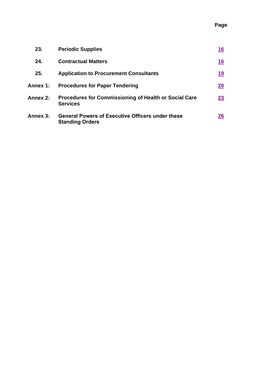## **Page**

| 23.      | <b>Periodic Supplies</b>                                                          | 16        |
|----------|-----------------------------------------------------------------------------------|-----------|
| 24.      | <b>Contractual Matters</b>                                                        | <u>16</u> |
| 25.      | <b>Application to Procurement Consultants</b>                                     | 19        |
| Annex 1: | <b>Procedures for Paper Tendering</b>                                             | 20        |
| Annex 2: | <b>Procedures for Commissioning of Health or Social Care</b><br><b>Services</b>   | 23        |
| Annex 3: | <b>General Powers of Executive Officers under these</b><br><b>Standing Orders</b> | <u>26</u> |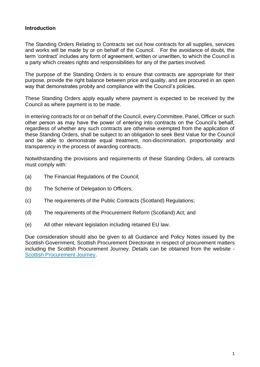## <span id="page-4-0"></span>**Introduction**

The Standing Orders Relating to Contracts set out how contracts for all supplies, services and works will be made by or on behalf of the Council. For the avoidance of doubt, the term 'contract' includes any form of agreement, written or unwritten, to which the Council is a party which creates rights and responsibilities for any of the parties involved.

The purpose of the Standing Orders is to ensure that contracts are appropriate for their purpose, provide the right balance between price and quality, and are procured in an open way that demonstrates probity and compliance with the Council's policies.

These Standing Orders apply equally where payment is expected to be received by the Council as where payment is to be made.

In entering contracts for or on behalf of the Council, every Committee, Panel, Officer or such other person as may have the power of entering into contracts on the Council's behalf, regardless of whether any such contracts are otherwise exempted from the application of these Standing Orders, shall be subject to an obligation to seek Best Value for the Council and be able to demonstrate equal treatment, non-discrimination, proportionality and transparency in the process of awarding contracts.

Notwithstanding the provisions and requirements of these Standing Orders, all contracts must comply with:

- (a) The Financial Regulations of the Council;
- (b) The Scheme of Delegation to Officers;
- (c) The requirements of the Public Contracts (Scotland) Regulations;
- (d) The requirements of the Procurement Reform (Scotland) Act; and
- (e) All other relevant legislation including retained EU law.

Due consideration should also be given to all Guidance and Policy Notes issued by the Scottish Government, Scottish Procurement Directorate in respect of procurement matters including the Scottish Procurement Journey. Details can be obtained from the website - [Scottish Procurement Journey.](https://www.procurementjourney.scot/)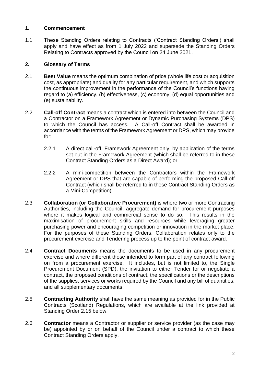## <span id="page-5-0"></span>**1. Commencement**

1.1 These Standing Orders relating to Contracts ('Contract Standing Orders') shall apply and have effect as from 1 July 2022 and supersede the Standing Orders Relating to Contracts approved by the Council on 24 June 2021.

## <span id="page-5-1"></span>**2. Glossary of Terms**

- 2.1 **Best Value** means the optimum combination of price (whole life cost or acquisition cost, as appropriate) and quality for any particular requirement, and which supports the continuous improvement in the performance of the Council's functions having regard to (a) efficiency, (b) effectiveness, (c) economy, (d) equal opportunities and (e) sustainability.
- 2.2 **Call-off Contract** means a contract which is entered into between the Council and a Contractor on a Framework Agreement or Dynamic Purchasing Systems (DPS) to which the Council has access. A Call-off Contract shall be awarded in accordance with the terms of the Framework Agreement or DPS, which may provide for:
	- 2.2.1 A direct call-off, Framework Agreement only, by application of the terms set out in the Framework Agreement (which shall be referred to in these Contract Standing Orders as a Direct Award); or
	- 2.2.2 A mini-competition between the Contractors within the Framework Agreement or DPS that are capable of performing the proposed Call-off Contract (which shall be referred to in these Contract Standing Orders as a Mini-Competition).
- 2.3 **Collaboration (or Collaborative Procurement)** is where two or more Contracting Authorities, including the Council, aggregate demand for procurement purposes where it makes logical and commercial sense to do so. This results in the maximisation of procurement skills and resources while leveraging greater purchasing power and encouraging competition or innovation in the market place. For the purposes of these Standing Orders, Collaboration relates only to the procurement exercise and Tendering process up to the point of contract award.
- 2.4 **Contract Documents** means the documents to be used in any procurement exercise and where different those intended to form part of any contract following on from a procurement exercise. It includes, but is not limited to, the Single Procurement Document (SPD), the invitation to either Tender for or negotiate a contract, the proposed conditions of contract, the specifications or the descriptions of the supplies, services or works required by the Council and any bill of quantities, and all supplementary documents.
- 2.5 **Contracting Authority** shall have the same meaning as provided for in the Public Contracts (Scotland) Regulations, which are available at the link provided at Standing Order 2.15 below.
- 2.6 **Contractor** means a Contractor or supplier or service provider (as the case may be) appointed by or on behalf of the Council under a contract to which these Contract Standing Orders apply.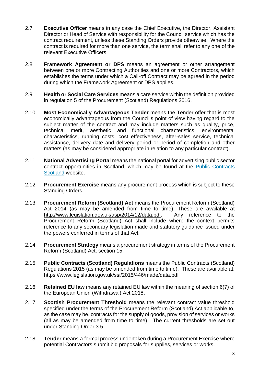- 2.7 **Executive Officer** means in any case the Chief Executive, the Director, Assistant Director or Head of Service with responsibility for the Council service which has the contract requirement, unless these Standing Orders provide otherwise. Where the contract is required for more than one service, the term shall refer to any one of the relevant Executive Officers.
- 2.8 **Framework Agreement or DPS** means an agreement or other arrangement between one or more Contracting Authorities and one or more Contractors, which establishes the terms under which a Call-off Contract may be agreed in the period during which the Framework Agreement or DPS applies.
- 2.9 **Health or Social Care Services** means a care service within the definition provided in regulation 5 of the Procurement (Scotland) Regulations 2016.
- 2.10 **Most Economically Advantageous Tender** means the Tender offer that is most economically advantageous from the Council's point of view having regard to the subject matter of the contract and may include matters such as quality, price, technical merit, aesthetic and functional characteristics, environmental characteristics, running costs, cost effectiveness, after-sales service, technical assistance, delivery date and delivery period or period of completion and other matters (as may be considered appropriate in relation to any particular contract).
- 2.11 **National Advertising Portal** means the national portal for advertising public sector contract opportunities in Scotland, which may be found at the **Public Contracts** [Scotland](http://www.publiccontractsscotland.gov.uk/) website.
- 2.12 **Procurement Exercise** means any procurement process which is subject to these Standing Orders.
- 2.13 **Procurement Reform (Scotland) Act** means the Procurement Reform (Scotland) Act 2014 (as may be amended from time to time). These are available at [http://www.legislation.gov.uk/asp/2014/12/data.pdf.](http://www.legislation.gov.uk/asp/2014/12/contents) Any reference to the Procurement Reform (Scotland) Act shall include where the context permits reference to any secondary legislation made and statutory guidance issued under the powers conferred in terms of that Act;
- 2.14 **Procurement Strategy** means a procurement strategy in terms of the Procurement Reform (Scotland) Act, section 15;
- 2.15 **Public Contracts (Scotland) Regulations** means the Public Contracts (Scotland) Regulations 2015 (as may be amended from time to time). These are available at: https://www.legislation.gov.uk/ssi/2015/446/made/data.pdf
- 2.16 **Retained EU law** means any retained EU law within the meaning of section 6(7) of the European Union (Withdrawal) Act 2018.
- 2.17 **Scottish Procurement Threshold** means the relevant contract value threshold specified under the terms of the Procurement Reform (Scotland) Act applicable to, as the case may be, contracts for the supply of goods, provision of services or works (all as may be amended from time to time). The current thresholds are set out under Standing Order 3.5.
- 2.18 **Tender** means a formal process undertaken during a Procurement Exercise where potential Contractors submit bid proposals for supplies, services or works.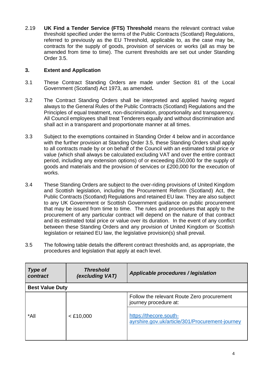2.19 **UK Find a Tender Service (FTS) Threshold** means the relevant contract value threshold specified under the terms of the Public Contracts (Scotland) Regulations, referred to previously as the EU Threshold, applicable to, as the case may be, contracts for the supply of goods, provision of services or works (all as may be amended from time to time). The current thresholds are set out under Standing Order 3.5.

## <span id="page-7-0"></span>**3. Extent and Application**

- 3.1 These Contract Standing Orders are made under Section 81 of the Local Government (Scotland) Act 1973, as amended**.**
- 3.2 The Contract Standing Orders shall be interpreted and applied having regard always to the General Rules of the Public Contracts (Scotland) Regulations and the Principles of equal treatment, non-discrimination, proportionality and transparency. All Council employees shall treat Tenderers equally and without discrimination and shall act in a transparent and proportionate manner at all times.
- 3.3 Subject to the exemptions contained in Standing Order 4 below and in accordance with the further provision at Standing Order 3.5, these Standing Orders shall apply to all contracts made by or on behalf of the Council with an estimated total price or value (which shall always be calculated excluding VAT and over the entire contract period, including any extension options) of or exceeding £50,000 for the supply of goods and materials and the provision of services or £200,000 for the execution of works.
- 3.4 These Standing Orders are subject to the over-riding provisions of United Kingdom and Scottish legislation, including the Procurement Reform (Scotland) Act, the Public Contracts (Scotland) Regulations and retained EU law. They are also subject to any UK Government or Scottish Government guidance on public procurement that may be issued from time to time. The rules and procedures that apply to the procurement of any particular contract will depend on the nature of that contract and its estimated total price or value over its duration. In the event of any conflict between these Standing Orders and any provision of United Kingdom or Scottish legislation or retained EU law, the legislative provision(s) shall prevail.
- 3.5 The following table details the different contract thresholds and, as appropriate, the procedures and legislation that apply at each level.

| <b>Type of</b><br>contract | <b>Threshold</b><br>(excluding VAT) | Applicable procedures / legislation                                       |
|----------------------------|-------------------------------------|---------------------------------------------------------------------------|
| <b>Best Value Duty</b>     |                                     |                                                                           |
|                            |                                     | Follow the relevant Route Zero procurement<br>journey procedure at:       |
| *All                       | $<$ £10,000                         | https://thecore.south-<br>ayrshire.gov.uk/article/301/Procurement-journey |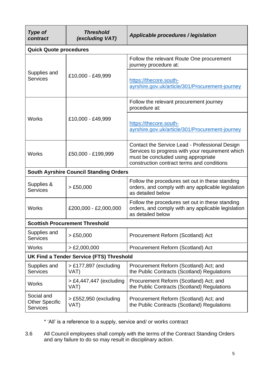| <b>Type of</b><br>contract                             | <b>Threshold</b><br>(excluding VAT)             | Applicable procedures / legislation                                                                                                                                                     |
|--------------------------------------------------------|-------------------------------------------------|-----------------------------------------------------------------------------------------------------------------------------------------------------------------------------------------|
| <b>Quick Quote procedures</b>                          |                                                 |                                                                                                                                                                                         |
|                                                        |                                                 | Follow the relevant Route One procurement<br>journey procedure at:                                                                                                                      |
| Supplies and<br><b>Services</b>                        | £10,000 - £49,999                               | https://thecore.south-<br>ayrshire.gov.uk/article/301/Procurement-journey                                                                                                               |
|                                                        |                                                 | Follow the relevant procurement journey<br>procedure at:                                                                                                                                |
| <b>Works</b>                                           | £10,000 - £49,999                               | https://thecore.south-<br>ayrshire.gov.uk/article/301/Procurement-journey                                                                                                               |
| <b>Works</b>                                           | £50,000 - £199,999                              | Contact the Service Lead - Professional Design<br>Services to progress with your requirement which<br>must be concluded using appropriate<br>construction contract terms and conditions |
|                                                        | <b>South Ayrshire Council Standing Orders</b>   |                                                                                                                                                                                         |
| Supplies &<br><b>Services</b>                          | > £50,000                                       | Follow the procedures set out in these standing<br>orders, and comply with any applicable legislation<br>as detailed below                                                              |
| <b>Works</b>                                           | £200,000 - £2,000,000                           | Follow the procedures set out in these standing<br>orders, and comply with any applicable legislation<br>as detailed below                                                              |
|                                                        | <b>Scottish Procurement Threshold</b>           |                                                                                                                                                                                         |
| Supplies and<br><b>Services</b>                        | > £50,000                                       | Procurement Reform (Scotland) Act                                                                                                                                                       |
| <b>Works</b>                                           | $>$ £2,000,000                                  | Procurement Reform (Scotland) Act                                                                                                                                                       |
|                                                        | <b>UK Find a Tender Service (FTS) Threshold</b> |                                                                                                                                                                                         |
| Supplies and<br><b>Services</b>                        | $>$ £177,897 (excluding<br>VAT)                 | Procurement Reform (Scotland) Act; and<br>the Public Contracts (Scotland) Regulations                                                                                                   |
| <b>Works</b>                                           | $> \text{\pounds}4,447,447$ (excluding<br>VAT)  | Procurement Reform (Scotland) Act; and<br>the Public Contracts (Scotland) Regulations                                                                                                   |
| Social and<br><b>Other Specific</b><br><b>Services</b> | $>$ £552,950 (excluding<br>VAT)                 | Procurement Reform (Scotland) Act; and<br>the Public Contracts (Scotland) Regulations                                                                                                   |

\* 'All' is a reference to a supply, service and/ or works contract

3.6 All Council employees shall comply with the terms of the Contract Standing Orders and any failure to do so may result in disciplinary action.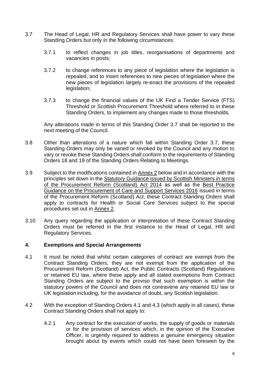- 3.7 The Head of Legal, HR and Regulatory Services shall have power to vary these Standing Orders but only in the following circumstances:
	- 3.7.1 to reflect changes in job titles, reorganisations of departments and vacancies in posts;
	- 3.7.2 to change references to any piece of legislation where the legislation is repealed, and to insert references to new pieces of legislation where the new pieces of legislation largely re-enact the provisions of the repealed legislation;
	- 3.7.3 to change the financial values of the UK Find a Tender Service (FTS) Threshold or Scottish Procurement Threshold where referred to in these Standing Orders, to implement any changes made to those thresholds.

Any alterations made in terms of this Standing Order 3.7 shall be reported to the next meeting of the Council.

- 3.8 Other than alterations of a nature which fall within Standing Order 3.7, these Standing Orders may only be varied or revoked by the Council and any motion to vary or revoke these Standing Orders shall conform to the requirements of Standing Orders 18 and 19 of the Standing Orders Relating to Meetings.
- 3.9 Subject to the modifications contained in [Annex 2](#page-26-0) below and in accordance with the principles set down in the [Statutory Guidance issued by Scottish Ministers in terms](http://www.gov.scot/Resource/0049/00496919.pdf)  [of the Procurement Reform \(Scotland\) Act 2014](http://www.gov.scot/Resource/0049/00496919.pdf) as well as the [Best Practice](http://www.gov.scot/Resource/0049/00498297.pdf)  [Guidance on the Procurement of Care and Support Services 2016](http://www.gov.scot/Resource/0049/00498297.pdf) issued in terms of the Procurement Reform (Scotland) Act, these Contract Standing Orders shall apply to contracts for Health or Social Care Services subject to the special procedures set out in [Annex 2.](#page-26-0)
- 3.10 Any query regarding the application or interpretation of these Contract Standing Orders must be referred in the first instance to the Head of Legal, HR and Regulatory Services.

## <span id="page-9-0"></span>**4. Exemptions and Special Arrangements**

- 4.1 It must be noted that whilst certain categories of contract are exempt from the Contract Standing Orders, they are not exempt from the application of the Procurement Reform (Scotland) Act, the Public Contracts (Scotland) Regulations or retained EU law, where these apply and all stated exemptions from Contract Standing Orders are subject to the proviso that such exemption is within the statutory powers of the Council and does not contravene any retained EU law or UK legislation including, for the avoidance of doubt, any Scottish legislation.
- 4.2 With the exception of Standing Orders 4.1 and 4.3 (which apply in all cases), these Contract Standing Orders shall not apply to:
	- 4.2.1 Any contract for the execution of works, the supply of goods or materials or for the provision of services which, in the opinion of the Executive Officer, is urgently required to address a genuine emergency situation brought about by events which could not have been foreseen by the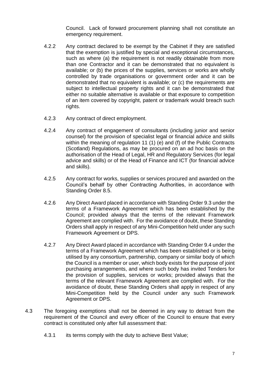Council. Lack of forward procurement planning shall not constitute an emergency requirement.

- 4.2.2 Any contract declared to be exempt by the Cabinet if they are satisfied that the exemption is justified by special and exceptional circumstances, such as where (a) the requirement is not readily obtainable from more than one Contractor and it can be demonstrated that no equivalent is available; or (b) the prices of the supplies, services or works are wholly controlled by trade organisations or government order and it can be demonstrated that no equivalent is available; or (c) the requirements are subject to intellectual property rights and it can be demonstrated that either no suitable alternative is available or that exposure to competition of an item covered by copyright, patent or trademark would breach such rights.
- 4.2.3 Any contract of direct employment.
- 4.2.4 Any contract of engagement of consultants (including junior and senior counsel) for the provision of specialist legal or financial advice and skills within the meaning of regulation 11 (1) (e) and (f) of the Public Contracts (Scotland) Regulations, as may be procured on an ad hoc basis on the authorisation of the Head of Legal, HR and Regulatory Services (for legal advice and skills) or of the Head of Finance and ICT (for financial advice and skills).
- 4.2.5 Any contract for works, supplies or services procured and awarded on the Council's behalf by other Contracting Authorities, in accordance with Standing Order 8.5.
- 4.2.6 Any Direct Award placed in accordance with Standing Order 9.3 under the terms of a Framework Agreement which has been established by the Council; provided always that the terms of the relevant Framework Agreement are complied with. For the avoidance of doubt, these Standing Orders shall apply in respect of any Mini-Competition held under any such Framework Agreement or DPS.
- 4.2.7 Any Direct Award placed in accordance with Standing Order 9.4 under the terms of a Framework Agreement which has been established or is being utilised by any consortium, partnership, company or similar body of which the Council is a member or user, which body exists for the purpose of joint purchasing arrangements, and where such body has invited Tenders for the provision of supplies, services or works; provided always that the terms of the relevant Framework Agreement are complied with. For the avoidance of doubt, these Standing Orders shall apply in respect of any Mini-Competition held by the Council under any such Framework Agreement or DPS.
- 4.3 The foregoing exemptions shall not be deemed in any way to detract from the requirement of the Council and every officer of the Council to ensure that every contract is constituted only after full assessment that:
	- 4.3.1 its terms comply with the duty to achieve Best Value;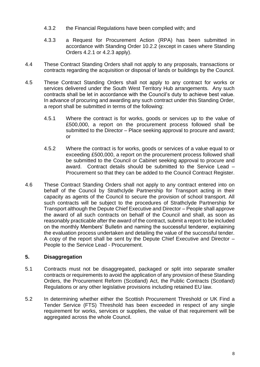- 4.3.2 the Financial Regulations have been complied with; and
- 4.3.3 a Request for Procurement Action (RPA) has been submitted in accordance with Standing Order 10.2.2 (except in cases where Standing Orders 4.2.1 or 4.2.3 apply).
- 4.4 These Contract Standing Orders shall not apply to any proposals, transactions or contracts regarding the acquisition or disposal of lands or buildings by the Council.
- 4.5 These Contract Standing Orders shall not apply to any contract for works or services delivered under the South West Territory Hub arrangements. Any such contracts shall be let in accordance with the Council's duty to achieve best value. In advance of procuring and awarding any such contract under this Standing Order, a report shall be submitted in terms of the following:
	- 4.5.1 Where the contract is for works, goods or services up to the value of £500,000, a report on the procurement process followed shall be submitted to the Director – Place seeking approval to procure and award; or
	- 4.5.2 Where the contract is for works, goods or services of a value equal to or exceeding £500,000, a report on the procurement process followed shall be submitted to the Council or Cabinet seeking approval to procure and award. Contract details should be submitted to the Service Lead – Procurement so that they can be added to the Council Contract Register.
- 4.6 These Contract Standing Orders shall not apply to any contract entered into on behalf of the Council by Strathclyde Partnership for Transport acting in their capacity as agents of the Council to secure the provision of school transport. All such contracts will be subject to the procedures of Strathclyde Partnership for Transport although the Depute Chief Executive and Director – People shall approve the award of all such contracts on behalf of the Council and shall, as soon as reasonably practicable after the award of the contract, submit a report to be included on the monthly Members' Bulletin and naming the successful tenderer, explaining the evaluation process undertaken and detailing the value of the successful tender. A copy of the report shall be sent by the Depute Chief Executive and Director – People to the Service Lead - Procurement.

## <span id="page-11-0"></span>**5. Disaggregation**

- 5.1 Contracts must not be disaggregated, packaged or split into separate smaller contracts or requirements to avoid the application of any provision of these Standing Orders, the Procurement Reform (Scotland) Act, the Public Contracts (Scotland) Regulations or any other legislative provisions including retained EU law.
- 5.2 In determining whether either the Scottish Procurement Threshold or UK Find a Tender Service (FTS) Threshold has been exceeded in respect of any single requirement for works, services or supplies, the value of that requirement will be aggregated across the whole Council.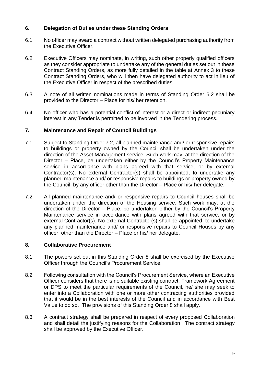## <span id="page-12-0"></span>**6. Delegation of Duties under these Standing Orders**

- 6.1 No officer may award a contract without written delegated purchasing authority from the Executive Officer.
- 6.2 Executive Officers may nominate, in writing, such other properly qualified officers as they consider appropriate to undertake any of the general duties set out in these Contract Standing Orders, as more fully detailed in the table at [Annex 3](#page-29-0) to these Contract Standing Orders, who will then have delegated authority to act in lieu of the Executive Officer in respect of the prescribed duties.
- 6.3 A note of all written nominations made in terms of Standing Order 6.2 shall be provided to the Director – Place for his/ her retention.
- 6.4 No officer who has a potential conflict of interest or a direct or indirect pecuniary interest in any Tender is permitted to be involved in the Tendering process.

## <span id="page-12-1"></span>**7. Maintenance and Repair of Council Buildings**

- 7.1 Subject to Standing Order 7.2, all planned maintenance and/ or responsive repairs to buildings or property owned by the Council shall be undertaken under the direction of the Asset Management service. Such work may, at the direction of the Director – Place, be undertaken either by the Council's Property Maintenance service in accordance with plans agreed with that service, or by external Contractor(s). No external Contractor(s) shall be appointed, to undertake any planned maintenance and/ or responsive repairs to buildings or property owned by the Council, by any officer other than the Director – Place or his/ her delegate.
- 7.2 All planned maintenance and/ or responsive repairs to Council houses shall be undertaken under the direction of the Housing service. Such work may, at the direction of the Director – Place, be undertaken either by the Council's Property Maintenance service in accordance with plans agreed with that service, or by external Contractor(s). No external Contractor(s) shall be appointed, to undertake any planned maintenance and/ or responsive repairs to Council Houses by any officer other than the Director – Place or his/ her delegate.

## <span id="page-12-2"></span>**8. Collaborative Procurement**

- 8.1 The powers set out in this Standing Order 8 shall be exercised by the Executive Officer through the Council's Procurement Service.
- 8.2 Following consultation with the Council's Procurement Service, where an Executive Officer considers that there is no suitable existing contract, Framework Agreement or DPS to meet the particular requirements of the Council, he/ she may seek to enter into a Collaboration with one or more other contracting authorities provided that it would be in the best interests of the Council and in accordance with Best Value to do so. The provisions of this Standing Order 8 shall apply.
- 8.3 A contract strategy shall be prepared in respect of every proposed Collaboration and shall detail the justifying reasons for the Collaboration. The contract strategy shall be approved by the Executive Officer.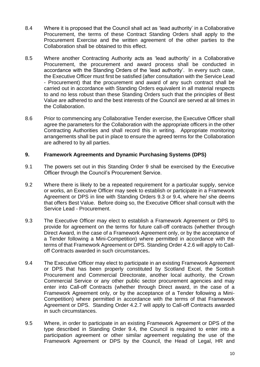- 8.4 Where it is proposed that the Council shall act as 'lead authority' in a Collaborative Procurement, the terms of these Contract Standing Orders shall apply to the Procurement Exercise and the written agreement of the other parties to the Collaboration shall be obtained to this effect.
- 8.5 Where another Contracting Authority acts as 'lead authority' in a Collaborative Procurement, the procurement and award process shall be conducted in accordance with the Standing Orders of the 'lead authority'. In every such case, the Executive Officer must first be satisfied (after consultation with the Service Lead - Procurement) that the procurement and award of any such contract shall be carried out in accordance with Standing Orders equivalent in all material respects to and no less robust than these Standing Orders such that the principles of Best Value are adhered to and the best interests of the Council are served at all times in the Collaboration.
- 8.6 Prior to commencing any Collaborative Tender exercise, the Executive Officer shall agree the parameters for the Collaboration with the appropriate officers in the other Contracting Authorities and shall record this in writing. Appropriate monitoring arrangements shall be put in place to ensure the agreed terms for the Collaboration are adhered to by all parties.

## <span id="page-13-0"></span>**9. Framework Agreements and Dynamic Purchasing Systems (DPS)**

- 9.1 The powers set out in this Standing Order 9 shall be exercised by the Executive Officer through the Council's Procurement Service.
- 9.2 Where there is likely to be a repeated requirement for a particular supply, service or works, an Executive Officer may seek to establish or participate in a Framework Agreement or DPS in line with Standing Orders 9.3 or 9.4, where he/ she deems that offers Best Value. Before doing so, the Executive Officer shall consult with the Service Lead - Procurement.
- 9.3 The Executive Officer may elect to establish a Framework Agreement or DPS to provide for agreement on the terms for future call-off contracts (whether through Direct Award, in the case of a Framework Agreement only, or by the acceptance of a Tender following a Mini-Competition) where permitted in accordance with the terms of that Framework Agreement or DPS. Standing Order 4.2.6 will apply to Calloff Contracts awarded in such circumstances**.**
- 9.4 The Executive Officer may elect to participate in an existing Framework Agreement or DPS that has been properly constituted by Scotland Excel, the Scottish Procurement and Commercial Directorate, another local authority, the Crown Commercial Service or any other public sector procurement agencies and may enter into Call-off Contracts (whether through Direct award, in the case of a Framework Agreement only, or by the acceptance of a Tender following a Mini-Competition) where permitted in accordance with the terms of that Framework Agreement or DPS. Standing Order 4.2.7 will apply to Call-off Contracts awarded in such circumstances.
- 9.5 Where, in order to participate in an existing Framework Agreement or DPS of the type described in Standing Order 9.4, the Council is required to enter into a participation agreement or other similar agreement regulating the use of the Framework Agreement or DPS by the Council, the Head of Legal, HR and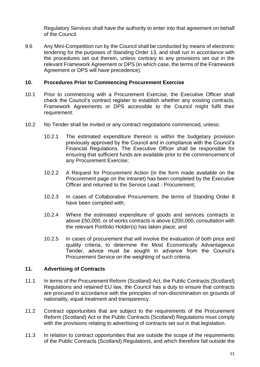Regulatory Services shall have the authority to enter into that agreement on behalf of the Council.

9.6 Any Mini-Competition run by the Council shall be conducted by means of electronic tendering for the purposes of Standing Order 13, and shall run in accordance with the procedures set out therein, unless contrary to any provisions set out in the relevant Framework Agreement or DPS (in which case, the terms of the Framework Agreement or DPS will have precedence).

## <span id="page-14-0"></span>**10. Procedures Prior to Commencing Procurement Exercise**

- 10.1 Prior to commencing with a Procurement Exercise, the Executive Officer shall check the Council's contract register to establish whether any existing contracts, Framework Agreements or DPS accessible to the Council might fulfil their requirement.
- 10.2 No Tender shall be invited or any contract negotiations commenced, unless:
	- 10.2.1 The estimated expenditure thereon is within the budgetary provision previously approved by the Council and in compliance with the Council's Financial Regulations. The Executive Officer shall be responsible for ensuring that sufficient funds are available prior to the commencement of any Procurement Exercise;
	- 10.2.2 A Request for Procurement Action (in the form made available on the Procurement page on the intranet) has been completed by the Executive Officer and returned to the Service Lead - Procurement;
	- 10.2.3 In cases of Collaborative Procurement, the terms of Standing Order 8 have been complied with;
	- 10.2.4 Where the estimated expenditure of goods and services contracts is above £50,000, or of works contracts is above £200,000, consultation with the relevant Portfolio Holder(s) has taken place; and
	- 10.2.5 In cases of procurement that will involve the evaluation of both price and quality criteria, to determine the Most Economically Advantageous Tender, advice must be sought in advance from the Council's Procurement Service on the weighting of such criteria.

## <span id="page-14-1"></span>**11. Advertising of Contracts**

- 11.1 In terms of the Procurement Reform (Scotland) Act, the Public Contracts (Scotland) Regulations and retained EU law, the Council has a duty to ensure that contracts are procured in accordance with the principles of non-discrimination on grounds of nationality, equal treatment and transparency.
- 11.2 Contract opportunities that are subject to the requirements of the Procurement Reform (Scotland) Act or the Public Contracts (Scotland) Regulations must comply with the provisions relating to advertising of contracts set out in that legislation.
- 11.3 In relation to contract opportunities that are outside the scope of the requirements of the Public Contracts (Scotland) Regulations, and which therefore fall outside the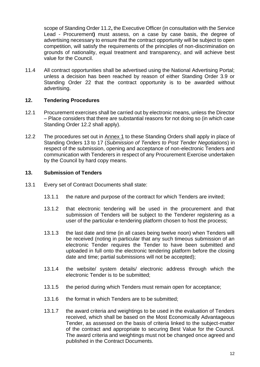scope of Standing Order 11.2**,** the Executive Officer (in consultation with the Service Lead - Procurement**)** must assess, on a case by case basis, the degree of advertising necessary to ensure that the contract opportunity will be subject to open competition, will satisfy the requirements of the principles of non-discrimination on grounds of nationality, equal treatment and transparency, and will achieve best value for the Council.

11.4 All contract opportunities shall be advertised using the National Advertising Portal; unless a decision has been reached by reason of either Standing Order 3.9 or Standing Order 22 that the contract opportunity is to be awarded without advertising.

## <span id="page-15-0"></span>**12. Tendering Procedures**

- 12.1 Procurement exercises shall be carried out by electronic means, unless the Director – Place considers that there are substantial reasons for not doing so (in which case Standing Order 12.2 shall apply).
- 12.2 The procedures set out in [Annex 1](#page-23-0) to these Standing Orders shall apply in place of Standing Orders 13 to 17 (*Submission of Tenders to Post Tender Negotiations*) in respect of the submission, opening and acceptance of non-electronic Tenders and communication with Tenderers in respect of any Procurement Exercise undertaken by the Council by hard copy means.

## <span id="page-15-1"></span>**13. Submission of Tenders**

- 13.1 Every set of Contract Documents shall state:
	- 13.1.1 the nature and purpose of the contract for which Tenders are invited;
	- 13.1.2 that electronic tendering will be used in the procurement and that submission of Tenders will be subject to the Tenderer registering as a user of the particular e-tendering platform chosen to host the process;
	- 13.1.3 the last date and time (in all cases being twelve noon) when Tenders will be received (noting in particular that any such timeous submission of an electronic Tender requires the Tender to have been submitted and uploaded in full onto the electronic tendering platform before the closing date and time; partial submissions will not be accepted);
	- 13.1.4 the website/ system details/ electronic address through which the electronic Tender is to be submitted;
	- 13.1.5 the period during which Tenders must remain open for acceptance;
	- 13.1.6 the format in which Tenders are to be submitted;
	- 13.1.7 the award criteria and weightings to be used in the evaluation of Tenders received, which shall be based on the Most Economically Advantageous Tender, as assessed on the basis of criteria linked to the subject-matter of the contract and appropriate to securing Best Value for the Council. The award criteria and weightings must not be changed once agreed and published in the Contract Documents.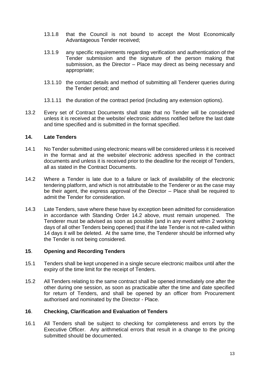- 13.1.8 that the Council is not bound to accept the Most Economically Advantageous Tender received;
- 13.1.9 any specific requirements regarding verification and authentication of the Tender submission and the signature of the person making that submission, as the Director – Place may direct as being necessary and appropriate;
- 13.1.10 the contact details and method of submitting all Tenderer queries during the Tender period; and
- 13.1.11 the duration of the contract period (including any extension options).
- 13.2 Every set of Contract Documents shall state that no Tender will be considered unless it is received at the website/ electronic address notified before the last date and time specified and is submitted in the format specified.

## <span id="page-16-0"></span>**14. Late Tenders**

- 14.1 No Tender submitted using electronic means will be considered unless it is received in the format and at the website/ electronic address specified in the contract documents and unless it is received prior to the deadline for the receipt of Tenders, all as stated in the Contract Documents.
- 14.2 Where a Tender is late due to a failure or lack of availability of the electronic tendering platform, and which is not attributable to the Tenderer or as the case may be their agent, the express approval of the Director – Place shall be required to admit the Tender for consideration.
- 14.3 Late Tenders, save where these have by exception been admitted for consideration in accordance with Standing Order 14.2 above, must remain unopened. The Tenderer must be advised as soon as possible (and in any event within 2 working days of all other Tenders being opened) that if the late Tender is not re-called within 14 days it will be deleted. At the same time, the Tenderer should be informed why the Tender is not being considered.

## <span id="page-16-1"></span>**15**. **Opening and Recording Tenders**

- 15.1 Tenders shall be kept unopened in a single secure electronic mailbox until after the expiry of the time limit for the receipt of Tenders.
- 15.2 All Tenders relating to the same contract shall be opened immediately one after the other during one session, as soon as practicable after the time and date specified for return of Tenders, and shall be opened by an officer from Procurement authorised and nominated by the Director - Place.

## <span id="page-16-2"></span>**16**. **Checking, Clarification and Evaluation of Tenders**

16.1 All Tenders shall be subject to checking for completeness and errors by the Executive Officer. Any arithmetical errors that result in a change to the pricing submitted should be documented.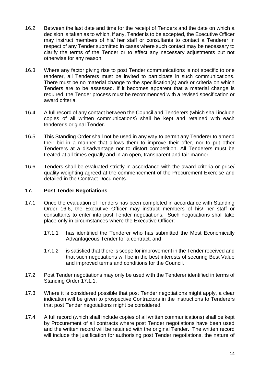- 16.2 Between the last date and time for the receipt of Tenders and the date on which a decision is taken as to which, if any, Tender is to be accepted, the Executive Officer may instruct members of his/ her staff or consultants to contact a Tenderer in respect of any Tender submitted in cases where such contact may be necessary to clarify the terms of the Tender or to effect any necessary adjustments but not otherwise for any reason.
- 16.3 Where any factor giving rise to post Tender communications is not specific to one tenderer, all Tenderers must be invited to participate in such communications. There must be no material change to the specification(s) and/ or criteria on which Tenders are to be assessed. If it becomes apparent that a material change is required, the Tender process must be recommenced with a revised specification or award criteria.
- 16.4 A full record of any contact between the Council and Tenderers (which shall include copies of all written communications) shall be kept and retained with each tenderer's original Tender.
- 16.5 This Standing Order shall not be used in any way to permit any Tenderer to amend their bid in a manner that allows them to improve their offer, nor to put other Tenderers at a disadvantage nor to distort competition. All Tenderers must be treated at all times equally and in an open, transparent and fair manner.
- 16.6 Tenders shall be evaluated strictly in accordance with the award criteria or price/ quality weighting agreed at the commencement of the Procurement Exercise and detailed in the Contract Documents.

## <span id="page-17-0"></span>**17. Post Tender Negotiations**

- 17.1 Once the evaluation of Tenders has been completed in accordance with Standing Order 16.6, the Executive Officer may instruct members of his/ her staff or consultants to enter into post Tender negotiations. Such negotiations shall take place only in circumstances where the Executive Officer:
	- 17.1.1 has identified the Tenderer who has submitted the Most Economically Advantageous Tender for a contract; and
	- 17.1.2 is satisfied that there is scope for improvement in the Tender received and that such negotiations will be in the best interests of securing Best Value and improved terms and conditions for the Council.
- 17.2 Post Tender negotiations may only be used with the Tenderer identified in terms of Standing Order 17.1.1.
- 17.3 Where it is considered possible that post Tender negotiations might apply, a clear indication will be given to prospective Contractors in the instructions to Tenderers that post Tender negotiations might be considered.
- 17.4 A full record (which shall include copies of all written communications) shall be kept by Procurement of all contracts where post Tender negotiations have been used and the written record will be retained with the original Tender. The written record will include the justification for authorising post Tender negotiations, the nature of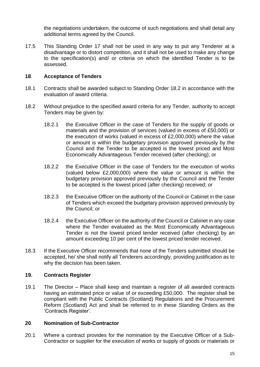the negotiations undertaken, the outcome of such negotiations and shall detail any additional terms agreed by the Council.

17.5 This Standing Order 17 shall not be used in any way to put any Tenderer at a disadvantage or to distort competition, and it shall not be used to make any change to the specification(s) and/ or criteria on which the identified Tender is to be assessed.

## <span id="page-18-0"></span>**18**. **Acceptance of Tenders**

- 18.1 Contracts shall be awarded subject to Standing Order 18.2 in accordance with the evaluation of award criteria.
- 18.2 Without prejudice to the specified award criteria for any Tender, authority to accept Tenders may be given by:
	- 18.2.1 the Executive Officer in the case of Tenders for the supply of goods or materials and the provision of services (valued in excess of £50,000) or the execution of works (valued in excess of £2,000,000) where the value or amount is within the budgetary provision approved previously by the Council and the Tender to be accepted is the lowest priced and Most Economically Advantageous Tender received (after checking); or
	- 18.2.2 the Executive Officer in the case of Tenders for the execution of works (valued below £2,000,000) where the value or amount is within the budgetary provision approved previously by the Council and the Tender to be accepted is the lowest priced (after checking) received; or
	- 18.2.3 the Executive Officer on the authority of the Council or Cabinet in the case of Tenders which exceed the budgetary provision approved previously by the Council; or
	- 18.2.4 the Executive Officer on the authority of the Council or Cabinet in any case where the Tender evaluated as the Most Economically Advantageous Tender is not the lowest priced tender received (after checking) by an amount exceeding 10 per cent of the lowest priced tender received.
- 18.3 If the Executive Officer recommends that none of the Tenders submitted should be accepted, he/ she shall notify all Tenderers accordingly, providing justification as to why the decision has been taken.

## <span id="page-18-1"></span>**19. Contracts Register**

19.1 The Director – Place shall keep and maintain a register of all awarded contracts having an estimated price or value of or exceeding £50,000. The register shall be compliant with the Public Contracts (Scotland) Regulations and the Procurement Reform (Scotland) Act and shall be referred to in these Standing Orders as the 'Contracts Register'.

## <span id="page-18-2"></span>**20**. **Nomination of Sub-Contractor**

20.1 Where a contract provides for the nomination by the Executive Officer of a Sub-Contractor or supplier for the execution of works or supply of goods or materials or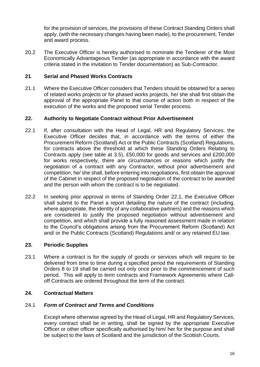for the provision of services, the provisions of these Contract Standing Orders shall apply, (with the necessary changes having been made), to the procurement, Tender and award process.

20.2 The Executive Officer is hereby authorised to nominate the Tenderer of the Most Economically Advantageous Tender (as appropriate in accordance with the award criteria stated in the invitation to Tender documentation) as Sub-Contractor.

## <span id="page-19-0"></span>**21**. **Serial and Phased Works Contracts**

21.1 Where the Executive Officer considers that Tenders should be obtained for a series of related works projects or for phased works projects, he/ she shall first obtain the approval of the appropriate Panel to that course of action both in respect of the execution of the works and the proposed serial Tender process.

## <span id="page-19-1"></span>**22. Authority to Negotiate Contract without Prior Advertisement**

- 22.1 If, after consultation with the Head of Legal, HR and Regulatory Services, the Executive Officer decides that, in accordance with the terms of either the Procurement Reform (Scotland) Act or the Public Contracts (Scotland) Regulations, for contracts above the threshold at which these Standing Orders Relating to Contracts apply (see table at 3.5), £50,000 for goods and services and £200,000 for works respectively, there are circumstances or reasons which justify the negotiation of a contract with any Contractor, without prior advertisement and competition, he/ she shall, before entering into negotiations, first obtain the approval of the Cabinet in respect of the proposed negotiation of the contract to be awarded and the person with whom the contract is to be negotiated.
- 22.2 In seeking prior approval in terms of Standing Order 22.1, the Executive Officer shall submit to the Panel a report detailing the nature of the contract (including, where appropriate, the identity of any collaborative partners) and the reasons which are considered to justify the proposed negotiation without advertisement and competition, and which shall provide a fully reasoned assessment made in relation to the Council's obligations arising from the Procurement Reform (Scotland) Act and/ or the Public Contracts (Scotland) Regulations and/ or any retained EU law.

## <span id="page-19-2"></span>**23. Periodic Supplies**

23.1 Where a contract is for the supply of goods or services which will require to be delivered from time to time during a specified period the requirements of Standing Orders 8 to 19 shall be carried out only once prior to the commencement of such period. This will apply to term contracts and Framework Agreements where Calloff Contracts are ordered throughout the term of the contract.

## <span id="page-19-3"></span>**24. Contractual Matters**

## 24.1 *Form of Contract and Terms and Conditions*

Except where otherwise agreed by the Head of Legal, HR and Regulatory Services, every contract shall be in writing, shall be signed by the appropriate Executive Officer or other officer specifically authorised by him/ her for the purpose and shall be subject to the laws of Scotland and the jurisdiction of the Scottish Courts.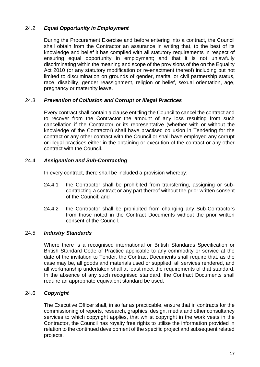## 24.2 *Equal Opportunity in Employment*

During the Procurement Exercise and before entering into a contract, the Council shall obtain from the Contractor an assurance in writing that, to the best of its knowledge and belief it has complied with all statutory requirements in respect of ensuring equal opportunity in employment; and that it is not unlawfully discriminating within the meaning and scope of the provisions of the on the Equality Act 2010 (or any statutory modification or re-enactment thereof) including but not limited to discrimination on grounds of gender, marital or civil partnership status, race, disability, gender reassignment, religion or belief, sexual orientation, age, pregnancy or maternity leave.

## 24.3 *Prevention of Collusion and Corrupt or Illegal Practices*

Every contract shall contain a clause entitling the Council to cancel the contract and to recover from the Contractor the amount of any loss resulting from such cancellation if the Contractor or its representative (whether with or without the knowledge of the Contractor) shall have practised collusion in Tendering for the contract or any other contract with the Council or shall have employed any corrupt or illegal practices either in the obtaining or execution of the contract or any other contract with the Council.

## 24.4 *Assignation and Sub-Contracting*

In every contract, there shall be included a provision whereby:

- 24.4.1 the Contractor shall be prohibited from transferring, assigning or subcontracting a contract or any part thereof without the prior written consent of the Council; and
- 24.4.2 the Contractor shall be prohibited from changing any Sub-Contractors from those noted in the Contract Documents without the prior written consent of the Council.

## 24.5 *Industry Standards*

Where there is a recognised international or British Standards Specification or British Standard Code of Practice applicable to any commodity or service at the date of the invitation to Tender, the Contract Documents shall require that, as the case may be, all goods and materials used or supplied, all services rendered, and all workmanship undertaken shall at least meet the requirements of that standard. In the absence of any such recognised standard, the Contract Documents shall require an appropriate equivalent standard be used.

## 24.6 *Copyright*

The Executive Officer shall, in so far as practicable, ensure that in contracts for the commissioning of reports, research, graphics, design, media and other consultancy services to which copyright applies, that whilst copyright in the work vests in the Contractor, the Council has royalty free rights to utilise the information provided in relation to the continued development of the specific project and subsequent related projects.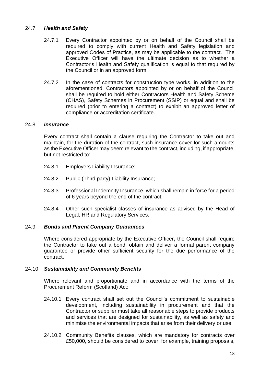## 24.7 *Health and Safety*

- 24.7.1 Every Contractor appointed by or on behalf of the Council shall be required to comply with current Health and Safety legislation and approved Codes of Practice, as may be applicable to the contract. The Executive Officer will have the ultimate decision as to whether a Contractor's Health and Safety qualification is equal to that required by the Council or in an approved form.
- 24.7.2 In the case of contracts for construction type works, in addition to the aforementioned, Contractors appointed by or on behalf of the Council shall be required to hold either Contractors Health and Safety Scheme (CHAS), Safety Schemes in Procurement (SSIP) or equal and shall be required (prior to entering a contract) to exhibit an approved letter of compliance or accreditation certificate.

## 24.8 *Insurance*

Every contract shall contain a clause requiring the Contractor to take out and maintain, for the duration of the contract, such insurance cover for such amounts as the Executive Officer may deem relevant to the contract, including, if appropriate, but not restricted to:

- 24.8.1 Employers Liability Insurance;
- 24.8.2 Public (Third party) Liability Insurance;
- 24.8.3 Professional Indemnity Insurance, which shall remain in force for a period of 6 years beyond the end of the contract;
- 24.8.4 Other such specialist classes of insurance as advised by the Head of Legal, HR and Regulatory Services.

## 24.9 *Bonds and Parent Company Guarantees*

Where considered appropriate by the Executive Officer**,** the Council shall require the Contractor to take out a bond, obtain and deliver a formal parent company guarantee or provide other sufficient security for the due performance of the contract.

## 24.10 *Sustainability and Community Benefits*

Where relevant and proportionate and in accordance with the terms of the Procurement Reform (Scotland) Act:

- 24.10.1 Every contract shall set out the Council's commitment to sustainable development, including sustainability in procurement and that the Contractor or supplier must take all reasonable steps to provide products and services that are designed for sustainability, as well as safety and minimise the environmental impacts that arise from their delivery or use.
- 24.10.2 Community Benefits clauses, which are mandatory for contracts over £50,000, should be considered to cover, for example, training proposals,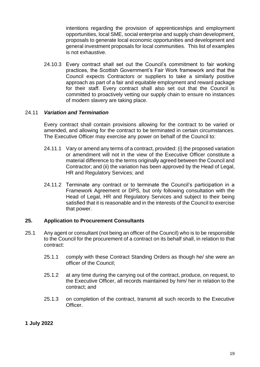intentions regarding the provision of apprenticeships and employment opportunities, local SME, social enterprise and supply chain development, proposals to generate local economic opportunities and development and general investment proposals for local communities. This list of examples is not exhaustive.

24.10.3 Every contract shall set out the Council's commitment to fair working practices, the Scottish Government's Fair Work framework and that the Council expects Contractors or suppliers to take a similarly positive approach as part of a fair and equitable employment and reward package for their staff. Every contract shall also set out that the Council is committed to proactively vetting our supply chain to ensure no instances of modern slavery are taking place.

## 24.11 *Variation and Termination*

Every contract shall contain provisions allowing for the contract to be varied or amended, and allowing for the contract to be terminated in certain circumstances. The Executive Officer may exercise any power on behalf of the Council to:

- 24.11.1 Vary or amend any terms of a contract, provided: (i) the proposed variation or amendment will not in the view of the Executive Officer constitute a material difference to the terms originally agreed between the Council and Contractor; and (ii) the variation has been approved by the Head of Legal, HR and Regulatory Services; and
- 24.11.2 Terminate any contract or to terminate the Council's participation in a Framework Agreement or DPS, but only following consultation with the Head of Legal, HR and Regulatory Services and subject to their being satisfied that it is reasonable and in the interests of the Council to exercise that power.

## <span id="page-22-0"></span>**25. Application to Procurement Consultants**

- 25.1 Any agent or consultant (not being an officer of the Council) who is to be responsible to the Council for the procurement of a contract on its behalf shall, in relation to that contract:
	- 25.1.1 comply with these Contract Standing Orders as though he/ she were an officer of the Council;
	- 25.1.2 at any time during the carrying out of the contract, produce, on request, to the Executive Officer, all records maintained by him/ her in relation to the contract; and
	- 25.1.3 on completion of the contract, transmit all such records to the Executive Officer.

## **1 July 2022**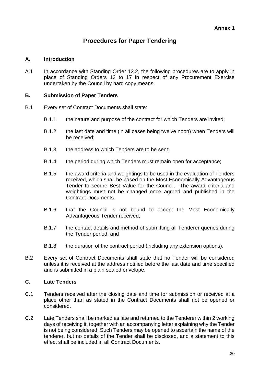## **Procedures for Paper Tendering**

## <span id="page-23-0"></span>**A. Introduction**

A.1 In accordance with Standing Order 12.2, the following procedures are to apply in place of Standing Orders 13 to 17 in respect of any Procurement Exercise undertaken by the Council by hard copy means.

## **B. Submission of Paper Tenders**

- B.1 Every set of Contract Documents shall state:
	- B.1.1 the nature and purpose of the contract for which Tenders are invited;
	- B.1.2 the last date and time (in all cases being twelve noon) when Tenders will be received;
	- B.1.3 the address to which Tenders are to be sent;
	- B.1.4 the period during which Tenders must remain open for acceptance;
	- B.1.5 the award criteria and weightings to be used in the evaluation of Tenders received, which shall be based on the Most Economically Advantageous Tender to secure Best Value for the Council. The award criteria and weightings must not be changed once agreed and published in the Contract Documents.
	- B.1.6 that the Council is not bound to accept the Most Economically Advantageous Tender received;
	- B.1.7 the contact details and method of submitting all Tenderer queries during the Tender period; and
	- B.1.8 the duration of the contract period (including any extension options).
- B.2 Every set of Contract Documents shall state that no Tender will be considered unless it is received at the address notified before the last date and time specified and is submitted in a plain sealed envelope.

## **C. Late Tenders**

- C.1 Tenders received after the closing date and time for submission or received at a place other than as stated in the Contract Documents shall not be opened or considered.
- C.2 Late Tenders shall be marked as late and returned to the Tenderer within 2 working days of receiving it, together with an accompanying letter explaining why the Tender is not being considered. Such Tenders may be opened to ascertain the name of the tenderer, but no details of the Tender shall be disclosed, and a statement to this effect shall be included in all Contract Documents.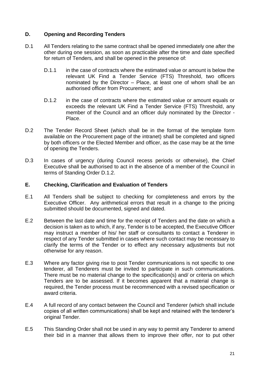## **D. Opening and Recording Tenders**

- D.1 All Tenders relating to the same contract shall be opened immediately one after the other during one session, as soon as practicable after the time and date specified for return of Tenders, and shall be opened in the presence of:
	- D.1.1 in the case of contracts where the estimated value or amount is below the relevant UK Find a Tender Service (FTS) Threshold, two officers nominated by the Director – Place, at least one of whom shall be an authorised officer from Procurement; and
	- D.1.2 in the case of contracts where the estimated value or amount equals or exceeds the relevant UK Find a Tender Service (FTS) Threshold, any member of the Council and an officer duly nominated by the Director - Place.
- D.2 The Tender Record Sheet (which shall be in the format of the template form available on the Procurement page of the intranet) shall be completed and signed by both officers or the Elected Member and officer, as the case may be at the time of opening the Tenders.
- D.3 In cases of urgency (during Council recess periods or otherwise), the Chief Executive shall be authorised to act in the absence of a member of the Council in terms of Standing Order D.1.2.

## **E. Checking, Clarification and Evaluation of Tenders**

- E.1 All Tenders shall be subject to checking for completeness and errors by the Executive Officer. Any arithmetical errors that result in a change to the pricing submitted should be documented, signed and dated.
- E.2 Between the last date and time for the receipt of Tenders and the date on which a decision is taken as to which, if any, Tender is to be accepted, the Executive Officer may instruct a member of his/ her staff or consultants to contact a Tenderer in respect of any Tender submitted in cases where such contact may be necessary to clarify the terms of the Tender or to effect any necessary adjustments but not otherwise for any reason.
- E.3 Where any factor giving rise to post Tender communications is not specific to one tenderer, all Tenderers must be invited to participate in such communications. There must be no material change to the specification(s) and/ or criteria on which Tenders are to be assessed. If it becomes apparent that a material change is required, the Tender process must be recommenced with a revised specification or award criteria.
- E.4 A full record of any contact between the Council and Tenderer (which shall include copies of all written communications) shall be kept and retained with the tenderer's original Tender.
- E.5 This Standing Order shall not be used in any way to permit any Tenderer to amend their bid in a manner that allows them to improve their offer, nor to put other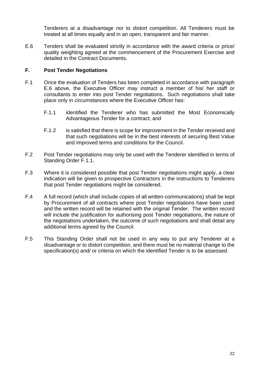Tenderers at a disadvantage nor to distort competition. All Tenderers must be treated at all times equally and in an open, transparent and fair manner.

E.6 Tenders shall be evaluated strictly in accordance with the award criteria or price/ quality weighting agreed at the commencement of the Procurement Exercise and detailed in the Contract Documents.

## **F. Post Tender Negotiations**

- F.1 Once the evaluation of Tenders has been completed in accordance with paragraph E.6 above, the Executive Officer may instruct a member of his/ her staff or consultants to enter into post Tender negotiations. Such negotiations shall take place only in circumstances where the Executive Officer has:
	- F.1.1 identified the Tenderer who has submitted the Most Economically Advantageous Tender for a contract; and
	- F.1.2 is satisfied that there is scope for improvement in the Tender received and that such negotiations will be in the best interests of securing Best Value and improved terms and conditions for the Council.
- F.2 Post Tender negotiations may only be used with the Tenderer identified in terms of Standing Order F.1.1.
- F.3 Where it is considered possible that post Tender negotiations might apply, a clear indication will be given to prospective Contractors in the instructions to Tenderers that post Tender negotiations might be considered.
- F.4 A full record (which shall include copies of all written communications) shall be kept by Procurement of all contracts where post Tender negotiations have been used and the written record will be retained with the original Tender. The written record will include the justification for authorising post Tender negotiations, the nature of the negotiations undertaken, the outcome of such negotiations and shall detail any additional terms agreed by the Council.
- F.5 This Standing Order shall not be used in any way to put any Tenderer at a disadvantage or to distort competition, and there must be no material change to the specification(s) and/ or criteria on which the identified Tender is to be assessed.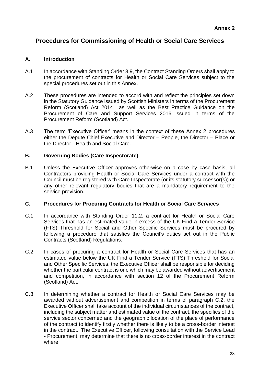## <span id="page-26-0"></span>**Procedures for Commissioning of Health or Social Care Services**

## **A. Introduction**

- A.1 In accordance with Standing Order 3.9, the Contract Standing Orders shall apply to the procurement of contracts for Health or Social Care Services subject to the special procedures set out in this Annex.
- A.2 These procedures are intended to accord with and reflect the principles set down in the [Statutory Guidance issued by Scottish Ministers in terms of the Procurement](http://www.gov.scot/Resource/0049/00496919.pdf)  [Reform \(Scotland\) Act 2014](http://www.gov.scot/Resource/0049/00496919.pdf) as well as the [Best Practice Guidance on the](http://www.gov.scot/Resource/0049/00498297.pdf)  [Procurement of Care and Support Services 2016](http://www.gov.scot/Resource/0049/00498297.pdf) issued in terms of the Procurement Reform (Scotland) Act.
- A.3 The term 'Executive Officer' means in the context of these Annex 2 procedures either the Depute Chief Executive and Director – People, the Director – Place or the Director - Health and Social Care.

## **B. Governing Bodies (Care Inspectorate)**

B.1 Unless the Executive Officer approves otherwise on a case by case basis, all Contractors providing Health or Social Care Services under a contract with the Council must be registered with Care Inspectorate (or its statutory successor(s)) or any other relevant regulatory bodies that are a mandatory requirement to the service provision.

## **C. Procedures for Procuring Contracts for Health or Social Care Services**

- C.1 In accordance with Standing Order 11.2, a contract for Health or Social Care Services that has an estimated value in excess of the UK Find a Tender Service (FTS) Threshold for Social and Other Specific Services must be procured by following a procedure that satisfies the Council's duties set out in the Public Contracts (Scotland) Regulations.
- C.2 In cases of procuring a contract for Health or Social Care Services that has an estimated value below the UK Find a Tender Service (FTS) Threshold for Social and Other Specific Services, the Executive Officer shall be responsible for deciding whether the particular contract is one which may be awarded without advertisement and competition, in accordance with section 12 of the Procurement Reform (Scotland) Act.
- C.3 In determining whether a contract for Health or Social Care Services may be awarded without advertisement and competition in terms of paragraph C.2, the Executive Officer shall take account of the individual circumstances of the contract, including the subject matter and estimated value of the contract, the specifics of the service sector concerned and the geographic location of the place of performance of the contract to identify firstly whether there is likely to be a cross-border interest in the contract. The Executive Officer, following consultation with the Service Lead - Procurement, may determine that there is no cross-border interest in the contract where: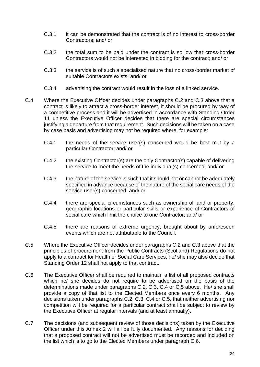- C.3.1 it can be demonstrated that the contract is of no interest to cross-border Contractors; and/ or
- C.3.2 the total sum to be paid under the contract is so low that cross-border Contractors would not be interested in bidding for the contract; and/ or
- C.3.3 the service is of such a specialised nature that no cross-border market of suitable Contractors exists; and/ or
- C.3.4 advertising the contract would result in the loss of a linked service.
- C.4 Where the Executive Officer decides under paragraphs C.2 and C.3 above that a contract is likely to attract a cross-border interest, it should be procured by way of a competitive process and it will be advertised in accordance with Standing Order 11 unless the Executive Officer decides that there are special circumstances justifying a departure from that requirement. Such decisions will be taken on a case by case basis and advertising may not be required where, for example:
	- C.4.1 the needs of the service user(s) concerned would be best met by a particular Contractor; and/ or
	- C.4.2 the existing Contractor(s) are the only Contractor(s) capable of delivering the service to meet the needs of the individual(s) concerned; and/ or
	- C.4.3 the nature of the service is such that it should not or cannot be adequately specified in advance because of the nature of the social care needs of the service user(s) concerned; and/ or
	- C.4.4 there are special circumstances such as ownership of land or property, geographic locations or particular skills or experience of Contractors of social care which limit the choice to one Contractor; and/ or
	- C.4.5 there are reasons of extreme urgency, brought about by unforeseen events which are not attributable to the Council.
- C.5 Where the Executive Officer decides under paragraphs C.2 and C.3 above that the principles of procurement from the Public Contracts (Scotland) Regulations do not apply to a contract for Health or Social Care Services, he/ she may also decide that Standing Order 12 shall not apply to that contract.
- C.6 The Executive Officer shall be required to maintain a list of all proposed contracts which he/ she decides do not require to be advertised on the basis of the determinations made under paragraphs C.2, C.3, C.4 or C.5 above. He/ she shall provide a copy of that list to the Elected Members once every 6 months. Any decisions taken under paragraphs C.2, C.3, C.4 or C.5, that neither advertising nor competition will be required for a particular contract shall be subject to review by the Executive Officer at regular intervals (and at least annually).
- C.7 The decisions (and subsequent review of those decisions) taken by the Executive Officer under this Annex 2 will all be fully documented. Any reasons for deciding that a proposed contract will not be advertised must be recorded and included on the list which is to go to the Elected Members under paragraph C.6.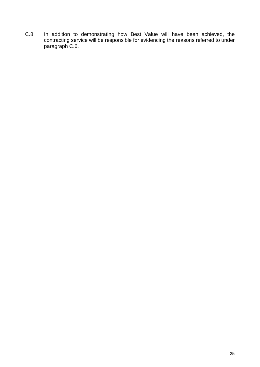C.8 In addition to demonstrating how Best Value will have been achieved, the contracting service will be responsible for evidencing the reasons referred to under paragraph C.6.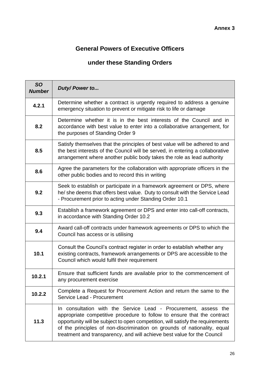# <span id="page-29-0"></span>**General Powers of Executive Officers**

# **under these Standing Orders**

| <b>SO</b><br><b>Number</b> | Duty/Power to                                                                                                                                                                                                                                                                                                                                                                       |
|----------------------------|-------------------------------------------------------------------------------------------------------------------------------------------------------------------------------------------------------------------------------------------------------------------------------------------------------------------------------------------------------------------------------------|
| 4.2.1                      | Determine whether a contract is urgently required to address a genuine<br>emergency situation to prevent or mitigate risk to life or damage                                                                                                                                                                                                                                         |
| 8.2                        | Determine whether it is in the best interests of the Council and in<br>accordance with best value to enter into a collaborative arrangement, for<br>the purposes of Standing Order 9                                                                                                                                                                                                |
| 8.5                        | Satisfy themselves that the principles of best value will be adhered to and<br>the best interests of the Council will be served, in entering a collaborative<br>arrangement where another public body takes the role as lead authority                                                                                                                                              |
| 8.6                        | Agree the parameters for the collaboration with appropriate officers in the<br>other public bodies and to record this in writing                                                                                                                                                                                                                                                    |
| 9.2                        | Seek to establish or participate in a framework agreement or DPS, where<br>he/ she deems that offers best value. Duty to consult with the Service Lead<br>- Procurement prior to acting under Standing Order 10.1                                                                                                                                                                   |
| 9.3                        | Establish a framework agreement or DPS and enter into call-off contracts,<br>in accordance with Standing Order 10.2                                                                                                                                                                                                                                                                 |
| 9.4                        | Award call-off contracts under framework agreements or DPS to which the<br>Council has access or is utilising                                                                                                                                                                                                                                                                       |
| 10.1                       | Consult the Council's contract register in order to establish whether any<br>existing contracts, framework arrangements or DPS are accessible to the<br>Council which would fulfil their requirement                                                                                                                                                                                |
| 10.2.1                     | Ensure that sufficient funds are available prior to the commencement of<br>any procurement exercise                                                                                                                                                                                                                                                                                 |
| 10.2.2                     | Complete a Request for Procurement Action and return the same to the<br>Service Lead - Procurement                                                                                                                                                                                                                                                                                  |
| 11.3                       | In consultation with the Service Lead - Procurement, assess the<br>appropriate competitive procedure to follow to ensure that the contract<br>opportunity will be subject to open competition, will satisfy the requirements<br>of the principles of non-discrimination on grounds of nationality, equal<br>treatment and transparency, and will achieve best value for the Council |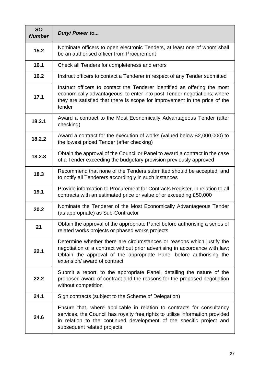| <b>SO</b><br><b>Number</b> | Duty/Power to                                                                                                                                                                                                                                                  |
|----------------------------|----------------------------------------------------------------------------------------------------------------------------------------------------------------------------------------------------------------------------------------------------------------|
| 15.2                       | Nominate officers to open electronic Tenders, at least one of whom shall<br>be an authorised officer from Procurement                                                                                                                                          |
| 16.1                       | Check all Tenders for completeness and errors                                                                                                                                                                                                                  |
| 16.2                       | Instruct officers to contact a Tenderer in respect of any Tender submitted                                                                                                                                                                                     |
| 17.1                       | Instruct officers to contact the Tenderer identified as offering the most<br>economically advantageous, to enter into post Tender negotiations; where<br>they are satisfied that there is scope for improvement in the price of the<br>tender                  |
| 18.2.1                     | Award a contract to the Most Economically Advantageous Tender (after<br>checking)                                                                                                                                                                              |
| 18.2.2                     | Award a contract for the execution of works (valued below £2,000,000) to<br>the lowest priced Tender (after checking)                                                                                                                                          |
| 18.2.3                     | Obtain the approval of the Council or Panel to award a contract in the case<br>of a Tender exceeding the budgetary provision previously approved                                                                                                               |
| 18.3                       | Recommend that none of the Tenders submitted should be accepted, and<br>to notify all Tenderers accordingly in such instances                                                                                                                                  |
| 19.1                       | Provide information to Procurement for Contracts Register, in relation to all<br>contracts with an estimated price or value of or exceeding £50,000                                                                                                            |
| 20.2                       | Nominate the Tenderer of the Most Economically Advantageous Tender<br>(as appropriate) as Sub-Contractor                                                                                                                                                       |
| 21                         | Obtain the approval of the appropriate Panel before authorising a series of<br>related works projects or phased works projects                                                                                                                                 |
| 22.1                       | Determine whether there are circumstances or reasons which justify the<br>negotiation of a contract without prior advertising in accordance with law;<br>Obtain the approval of the appropriate Panel before authorising the<br>extension/ award of contract   |
| 22.2                       | Submit a report, to the appropriate Panel, detailing the nature of the<br>proposed award of contract and the reasons for the proposed negotiation<br>without competition                                                                                       |
| 24.1                       | Sign contracts (subject to the Scheme of Delegation)                                                                                                                                                                                                           |
| 24.6                       | Ensure that, where applicable in relation to contracts for consultancy<br>services, the Council has royalty free rights to utilise information provided<br>in relation to the continued development of the specific project and<br>subsequent related projects |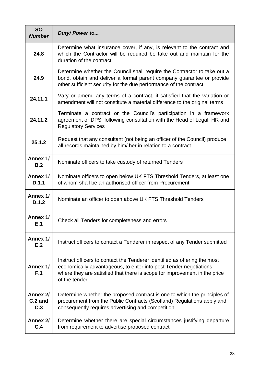| <b>SO</b><br><b>Number</b> | Duty/Power to                                                                                                                                                                                                                                 |
|----------------------------|-----------------------------------------------------------------------------------------------------------------------------------------------------------------------------------------------------------------------------------------------|
| 24.8                       | Determine what insurance cover, if any, is relevant to the contract and<br>which the Contractor will be required be take out and maintain for the<br>duration of the contract                                                                 |
| 24.9                       | Determine whether the Council shall require the Contractor to take out a<br>bond, obtain and deliver a formal parent company guarantee or provide<br>other sufficient security for the due performance of the contract                        |
| 24.11.1                    | Vary or amend any terms of a contract, if satisfied that the variation or<br>amendment will not constitute a material difference to the original terms                                                                                        |
| 24.11.2                    | Terminate a contract or the Council's participation in a framework<br>agreement or DPS, following consultation with the Head of Legal, HR and<br><b>Regulatory Services</b>                                                                   |
| 25.1.2                     | Request that any consultant (not being an officer of the Council) produce<br>all records maintained by him/ her in relation to a contract                                                                                                     |
| Annex 1/<br>B.2            | Nominate officers to take custody of returned Tenders                                                                                                                                                                                         |
| Annex 1/<br>D.1.1          | Nominate officers to open below UK FTS Threshold Tenders, at least one<br>of whom shall be an authorised officer from Procurement                                                                                                             |
| Annex 1/<br>D.1.2          | Nominate an officer to open above UK FTS Threshold Tenders                                                                                                                                                                                    |
| Annex 1/<br>E.1            | Check all Tenders for completeness and errors                                                                                                                                                                                                 |
| Annex 1/<br>E.2            | Instruct officers to contact a Tenderer in respect of any Tender submitted                                                                                                                                                                    |
| Annex 1/<br>F.1            | Instruct officers to contact the Tenderer identified as offering the most<br>economically advantageous, to enter into post Tender negotiations;<br>where they are satisfied that there is scope for improvement in the price<br>of the tender |
| Annex 2/<br>C.2 and<br>C.3 | Determine whether the proposed contract is one to which the principles of<br>procurement from the Public Contracts (Scotland) Regulations apply and<br>consequently requires advertising and competition                                      |
| Annex 2/<br>C.4            | Determine whether there are special circumstances justifying departure<br>from requirement to advertise proposed contract                                                                                                                     |